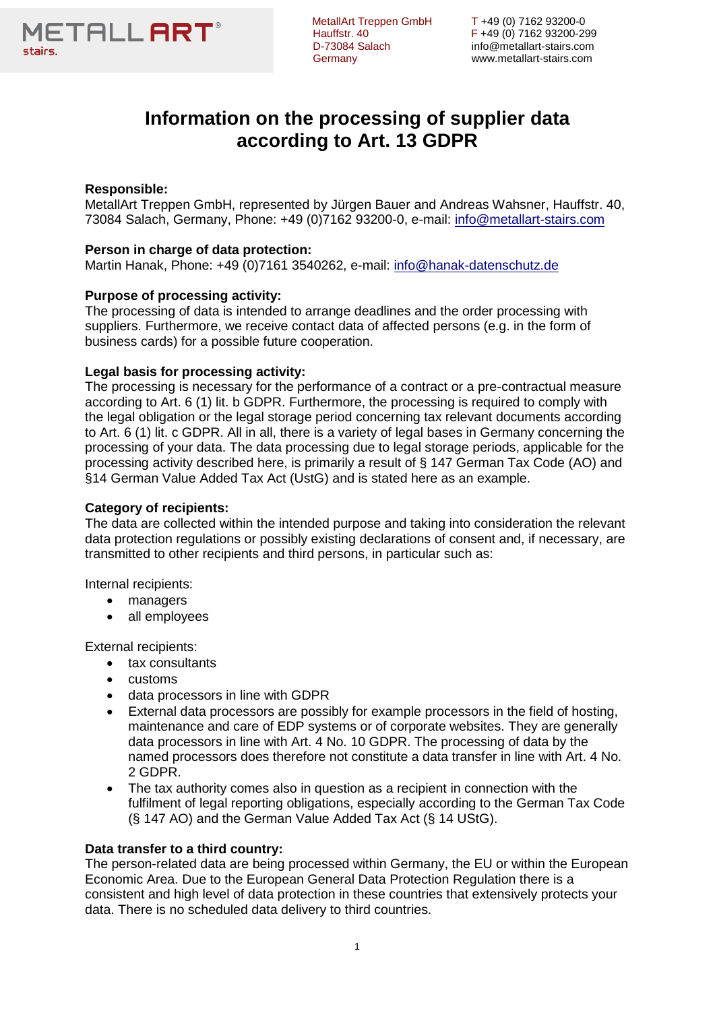

D-73084 Salach info@metallart-stairs.com

MetallArt Treppen GmbH T +49 (0) 7162 93200-0<br>Hauffstr. 40 F +49 (0) 7162 93200-299 Hauffstr. 40 F +49 (0) 7162 93200-299 Germany www.metallart-stairs.com

# **Information on the processing of supplier data according to Art. 13 GDPR**

# **Responsible:**

MetallArt Treppen GmbH, represented by Jürgen Bauer and Andreas Wahsner, Hauffstr. 40, 73084 Salach, Germany, Phone: +49 (0)7162 93200-0, e-mail: [info@metallart-stairs.com](mailto:info@metallart-stairs.com)

# **Person in charge of data protection:**

Martin Hanak, Phone: +49 (0)7161 3540262, e-mail: [info@hanak-datenschutz.de](mailto:info@hanak-datenschutz.de)

# **Purpose of processing activity:**

The processing of data is intended to arrange deadlines and the order processing with suppliers. Furthermore, we receive contact data of affected persons (e.g. in the form of business cards) for a possible future cooperation.

## **Legal basis for processing activity:**

The processing is necessary for the performance of a contract or a pre-contractual measure according to Art. 6 (1) lit. b GDPR. Furthermore, the processing is required to comply with the legal obligation or the legal storage period concerning tax relevant documents according to Art. 6 (1) lit. c GDPR. All in all, there is a variety of legal bases in Germany concerning the processing of your data. The data processing due to legal storage periods, applicable for the processing activity described here, is primarily a result of § 147 German Tax Code (AO) and §14 German Value Added Tax Act (UstG) and is stated here as an example.

## **Category of recipients:**

The data are collected within the intended purpose and taking into consideration the relevant data protection regulations or possibly existing declarations of consent and, if necessary, are transmitted to other recipients and third persons, in particular such as:

Internal recipients:

- managers
- all employees

External recipients:

- tax consultants
- **customs**
- data processors in line with GDPR
- External data processors are possibly for example processors in the field of hosting, maintenance and care of EDP systems or of corporate websites. They are generally data processors in line with Art. 4 No. 10 GDPR. The processing of data by the named processors does therefore not constitute a data transfer in line with Art. 4 No. 2 GDPR.
- The tax authority comes also in question as a recipient in connection with the fulfilment of legal reporting obligations, especially according to the German Tax Code (§ 147 AO) and the German Value Added Tax Act (§ 14 UStG).

#### **Data transfer to a third country:**

The person-related data are being processed within Germany, the EU or within the European Economic Area. Due to the European General Data Protection Regulation there is a consistent and high level of data protection in these countries that extensively protects your data. There is no scheduled data delivery to third countries.